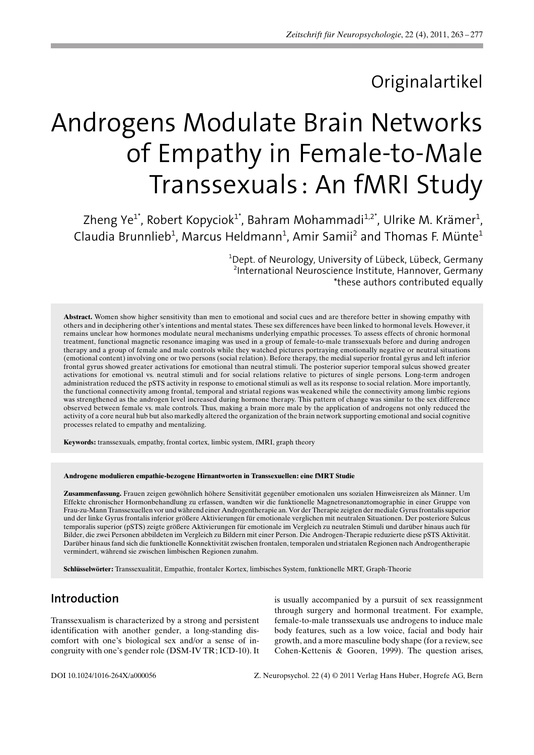# Originalartikel

# Androgens Modulate Brain Networks of Empathy in Female-to-Male Transsexuals: An fMRI Study

Zheng Ye $^{\text{1}^*}$ , Robert Kopyciok $^{\text{1}^*}$ , Bahram Mohammadi $^{\text{1,2}^*}$ , Ulrike M. Krämer $^{\text{1}}$ , Claudia Brunnlieb<sup>1</sup>, Marcus Heldmann<sup>1</sup>, Amir Samii<sup>2</sup> and Thomas F. Münte<sup>1</sup>

> 1 Dept. of Neurology, University of Lübeck, Lübeck, Germany 2 International Neuroscience Institute, Hannover, Germany \*these authors contributed equally

Abstract. Women show higher sensitivity than men to emotional and social cues and are therefore better in showing empathy with others and in deciphering other's intentions and mental states. These sex differences have been linked to hormonal levels. However, it remains unclear how hormones modulate neural mechanisms underlying empathic processes. To assess effects of chronic hormonal treatment, functional magnetic resonance imaging was used in a group of female-to-male transsexuals before and during androgen therapy and a group of female and male controls while they watched pictures portraying emotionally negative or neutral situations (emotional content) involving one or two persons (social relation). Before therapy, the medial superior frontal gyrus and left inferior frontal gyrus showed greater activations for emotional than neutral stimuli. The posterior superior temporal sulcus showed greater activations for emotional vs. neutral stimuli and for social relations relative to pictures of single persons. Long-term androgen administration reduced the pSTS activity in response to emotional stimuli as well as its response to social relation. More importantly, the functional connectivity among frontal, temporal and striatal regions was weakened while the connectivity among limbic regions was strengthened as the androgen level increased during hormone therapy. This pattern of change was similar to the sex difference observed between female vs. male controls. Thus, making a brain more male by the application of androgens not only reduced the activity of a core neural hub but also markedly altered the organization of the brain network supporting emotional and social cognitive processes related to empathy and mentalizing.

Keywords: transsexuals, empathy, frontal cortex, limbic system, fMRI, graph theory

#### Androgene modulieren empathie-bezogene Hirnantworten in Transsexuellen: eine fMRT Studie

Zusammenfassung. Frauen zeigen gewöhnlich höhere Sensitivität gegenüber emotionalen uns sozialen Hinweisreizen als Männer. Um Effekte chronischer Hormonbehandlung zu erfassen, wandten wir die funktionelle Magnetresonanztomographie in einer Gruppe von Frau-zu-Mann Transsexuellen vor und whrend einer Androgentherapie an. Vor der Therapie zeigten der mediale Gyrus frontalis superior und der linke Gyrus frontalis inferior größere Aktivierungen für emotionale verglichen mit neutralen Situationen. Der posteriore Sulcus temporalis superior (pSTS) zeigte größere Aktivierungen für emotionale im Vergleich zu neutralen Stimuli und darüber hinaus auch für Bilder, die zwei Personen abbildeten im Vergleich zu Bildern mit einer Person. Die Androgen-Therapie reduzierte diese pSTS Aktivitt. Darüber hinaus fand sich die funktionelle Konnektivität zwischen frontalen, temporalen und striatalen Regionen nach Androgentherapie vermindert, während sie zwischen limbischen Regionen zunahm.

Schlüsselwörter: Transsexualität, Empathie, frontaler Kortex, limbisches System, funktionelle MRT, Graph-Theorie

# Introduction

Transsexualism is characterized by a strong and persistent identification with another gender, a long-standing discomfort with one's biological sex and/or a sense of incongruity with one's gender role (DSM-IV TR; ICD-10). It

is usually accompanied by a pursuit of sex reassignment through surgery and hormonal treatment. For example, female-to-male transsexuals use androgens to induce male body features, such as a low voice, facial and body hair growth, and a more masculine body shape (for a review, see Cohen-Kettenis & Gooren, 1999). The question arises,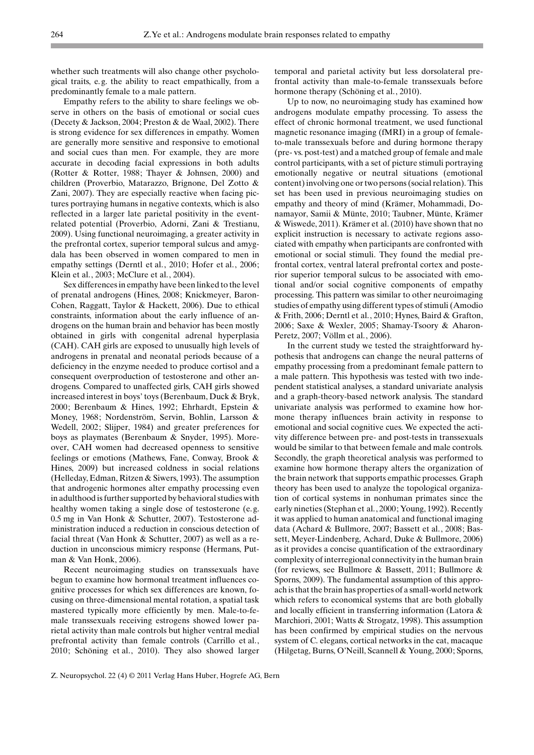whether such treatments will also change other psychological traits, e. g. the ability to react empathically, from a predominantly female to a male pattern.

Empathy refers to the ability to share feelings we observe in others on the basis of emotional or social cues (Decety & Jackson, 2004; Preston & de Waal, 2002). There is strong evidence for sex differences in empathy. Women are generally more sensitive and responsive to emotional and social cues than men. For example, they are more accurate in decoding facial expressions in both adults (Rotter & Rotter, 1988; Thayer & Johnsen, 2000) and children (Proverbio, Matarazzo, Brignone, Del Zotto & Zani, 2007). They are especially reactive when facing pictures portraying humans in negative contexts, which is also reflected in a larger late parietal positivity in the eventrelated potential (Proverbio, Adorni, Zani & Trestianu, 2009). Using functional neuroimaging, a greater activity in the prefrontal cortex, superior temporal sulcus and amygdala has been observed in women compared to men in empathy settings (Derntl et al., 2010; Hofer et al., 2006; Klein et al., 2003; McClure et al., 2004).

Sex differences in empathy have been linked to the level of prenatal androgens (Hines, 2008; Knickmeyer, Baron-Cohen, Raggatt, Taylor & Hackett, 2006). Due to ethical constraints, information about the early influence of androgens on the human brain and behavior has been mostly obtained in girls with congenital adrenal hyperplasia (CAH). CAH girls are exposed to unusually high levels of androgens in prenatal and neonatal periods because of a deficiency in the enzyme needed to produce cortisol and a consequent overproduction of testosterone and other androgens. Compared to unaffected girls, CAH girls showed increased interest in boys' toys (Berenbaum, Duck & Bryk, 2000; Berenbaum & Hines, 1992; Ehrhardt, Epstein & Money, 1968; Nordenström, Servin, Bohlin, Larsson & Wedell, 2002; Slijper, 1984) and greater preferences for boys as playmates (Berenbaum & Snyder, 1995). Moreover, CAH women had decreased openness to sensitive feelings or emotions (Mathews, Fane, Conway, Brook & Hines, 2009) but increased coldness in social relations (Helleday, Edman, Ritzen & Siwers, 1993). The assumption that androgenic hormones alter empathy processing even in adulthood is further supported by behavioral studies with healthy women taking a single dose of testosterone (e.g. 0.5 mg in Van Honk & Schutter, 2007). Testosterone administration induced a reduction in conscious detection of facial threat (Van Honk & Schutter, 2007) as well as a reduction in unconscious mimicry response (Hermans, Putman & Van Honk, 2006).

Recent neuroimaging studies on transsexuals have begun to examine how hormonal treatment influences cognitive processes for which sex differences are known, focusing on three-dimensional mental rotation, a spatial task mastered typically more efficiently by men. Male-to-female transsexuals receiving estrogens showed lower parietal activity than male controls but higher ventral medial prefrontal activity than female controls (Carrillo et al., 2010; Schöning et al., 2010). They also showed larger temporal and parietal activity but less dorsolateral prefrontal activity than male-to-female transsexuals before hormone therapy (Schöning et al., 2010).

Up to now, no neuroimaging study has examined how androgens modulate empathy processing. To assess the effect of chronic hormonal treatment, we used functional magnetic resonance imaging (fMRI) in a group of femaleto-male transsexuals before and during hormone therapy (pre- vs. post-test) and a matched group of female and male control participants, with a set of picture stimuli portraying emotionally negative or neutral situations (emotional content) involving one or two persons (social relation). This set has been used in previous neuroimaging studies on empathy and theory of mind (Krämer, Mohammadi, Donamayor, Samii & Münte, 2010; Taubner, Münte, Krämer & Wiswede, 2011). Krämer et al.  $(2010)$  have shown that no explicit instruction is necessary to activate regions associated with empathy when participants are confronted with emotional or social stimuli. They found the medial prefrontal cortex, ventral lateral prefrontal cortex and posterior superior temporal sulcus to be associated with emotional and/or social cognitive components of empathy processing. This pattern was similar to other neuroimaging studies of empathy using different types of stimuli (Amodio & Frith, 2006; Derntl et al., 2010; Hynes, Baird & Grafton, 2006; Saxe & Wexler, 2005; Shamay-Tsoory & Aharon-Peretz, 2007; Völlm et al., 2006).

In the current study we tested the straightforward hypothesis that androgens can change the neural patterns of empathy processing from a predominant female pattern to a male pattern. This hypothesis was tested with two independent statistical analyses, a standard univariate analysis and a graph-theory-based network analysis. The standard univariate analysis was performed to examine how hormone therapy influences brain activity in response to emotional and social cognitive cues. We expected the activity difference between pre- and post-tests in transsexuals would be similar to that between female and male controls. Secondly, the graph theoretical analysis was performed to examine how hormone therapy alters the organization of the brain network that supports empathic processes. Graph theory has been used to analyze the topological organization of cortical systems in nonhuman primates since the early nineties (Stephan et al., 2000; Young, 1992). Recently it was applied to human anatomical and functional imaging data (Achard & Bullmore, 2007; Bassett et al., 2008; Bassett, Meyer-Lindenberg, Achard, Duke & Bullmore, 2006) as it provides a concise quantification of the extraordinary complexity of interregional connectivity in the human brain (for reviews, see Bullmore & Bassett, 2011; Bullmore & Sporns, 2009). The fundamental assumption of this approach is that the brain has properties of a small-world network which refers to economical systems that are both globally and locally efficient in transferring information (Latora & Marchiori, 2001; Watts & Strogatz, 1998). This assumption has been confirmed by empirical studies on the nervous system of C. elegans, cortical networks in the cat, macaque (Hilgetag, Burns, O'Neill, Scannell & Young, 2000; Sporns,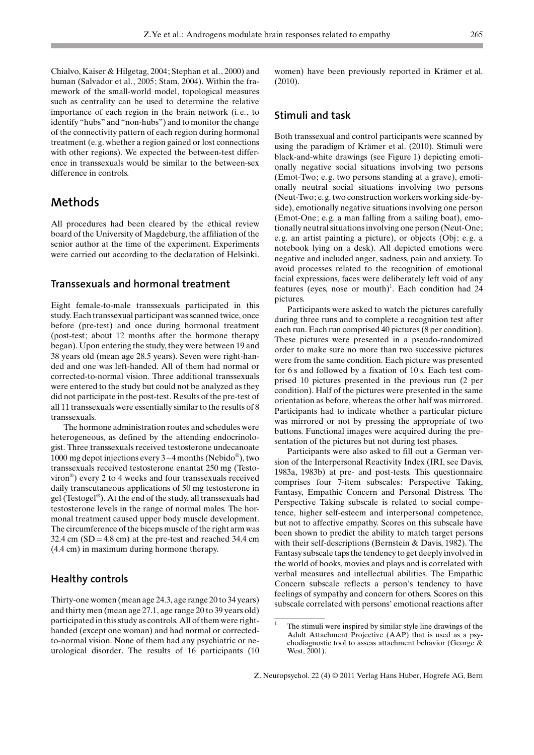Chialvo, Kaiser & Hilgetag, 2004; Stephan et al., 2000) and human (Salvador et al., 2005; Stam, 2004). Within the framework of the small-world model, topological measures such as centrality can be used to determine the relative importance of each region in the brain network (i. e., to identify "hubs" and "non-hubs") and to monitor the change of the connectivity pattern of each region during hormonal treatment (e. g. whether a region gained or lost connections with other regions). We expected the between-test difference in transsexuals would be similar to the between-sex difference in controls.

### Methods

All procedures had been cleared by the ethical review board of the University of Magdeburg, the affiliation of the senior author at the time of the experiment. Experiments were carried out according to the declaration of Helsinki.

#### Transsexuals and hormonal treatment

Eight female-to-male transsexuals participated in this study. Each transsexual participant was scanned twice, once before (pre-test) and once during hormonal treatment (post-test; about 12 months after the hormone therapy began). Upon entering the study, they were between 19 and 38 years old (mean age 28.5 years). Seven were right-handed and one was left-handed. All of them had normal or corrected-to-normal vision. Three additional transsexuals were entered to the study but could not be analyzed as they did not participate in the post-test. Results of the pre-test of all 11 transsexuals were essentially similar to the results of 8 transsexuals.

The hormone administration routes and schedules were heterogeneous, as defined by the attending endocrinologist. Three transsexuals received testosterone undecanoate 1000 mg depot injections every  $3-4$  months (Nebido<sup>®</sup>), two transsexuals received testosterone enantat 250 mg (Testoviron<sup>®</sup>) every 2 to 4 weeks and four transsexuals received daily transcutaneous applications of 50 mg testosterone in gel (Testogel<sup>®</sup>). At the end of the study, all transsexuals had testosterone levels in the range of normal males. The hormonal treatment caused upper body muscle development. The circumference of the biceps muscle of the right arm was 32.4 cm  $(SD=4.8 \text{ cm})$  at the pre-test and reached 34.4 cm (4.4 cm) in maximum during hormone therapy.

#### Healthy controls

Thirty-one women (mean age 24.3, age range 20 to 34 years) and thirty men (mean age 27.1, age range 20 to 39 years old) participated in this study as controls. All of them were righthanded (except one woman) and had normal or correctedto-normal vision. None of them had any psychiatric or neurological disorder. The results of 16 participants (10 women) have been previously reported in Krämer et al. (2010).

#### Stimuli and task

Both transsexual and control participants were scanned by using the paradigm of Krämer et al. (2010). Stimuli were black-and-white drawings (see Figure 1) depicting emotionally negative social situations involving two persons (Emot-Two; e. g. two persons standing at a grave), emotionally neutral social situations involving two persons (Neut-Two; e. g. two construction workers working side-byside), emotionally negative situations involving one person (Emot-One; e. g. a man falling from a sailing boat), emotionally neutral situations involving one person (Neut-One; e. g. an artist painting a picture), or objects (Obj; e. g. a notebook lying on a desk). All depicted emotions were negative and included anger, sadness, pain and anxiety. To avoid processes related to the recognition of emotional facial expressions, faces were deliberately left void of any features (eyes, nose or mouth)<sup>1</sup>. Each condition had 24 pictures.

Participants were asked to watch the pictures carefully during three runs and to complete a recognition test after each run. Each run comprised 40 pictures (8 per condition). These pictures were presented in a pseudo-randomized order to make sure no more than two successive pictures were from the same condition. Each picture was presented for 6 s and followed by a fixation of 10 s. Each test comprised 10 pictures presented in the previous run (2 per condition). Half of the pictures were presented in the same orientation as before, whereas the other half was mirrored. Participants had to indicate whether a particular picture was mirrored or not by pressing the appropriate of two buttons. Functional images were acquired during the presentation of the pictures but not during test phases.

Participants were also asked to fill out a German version of the Interpersonal Reactivity Index (IRI, see Davis, 1983a, 1983b) at pre- and post-tests. This questionnaire comprises four 7-item subscales: Perspective Taking, Fantasy, Empathic Concern and Personal Distress. The Perspective Taking subscale is related to social competence, higher self-esteem and interpersonal competence, but not to affective empathy. Scores on this subscale have been shown to predict the ability to match target persons with their self-descriptions (Bernstein & Davis, 1982). The Fantasy subscale taps the tendency to get deeply involved in the world of books, movies and plays and is correlated with verbal measures and intellectual abilities. The Empathic Concern subscale reflects a person's tendency to have feelings of sympathy and concern for others. Scores on this subscale correlated with persons' emotional reactions after

<sup>&</sup>lt;sup>1</sup> The stimuli were inspired by similar style line drawings of the Adult Attachment Projective (AAP) that is used as a psychodiagnostic tool to assess attachment behavior (George & West, 2001).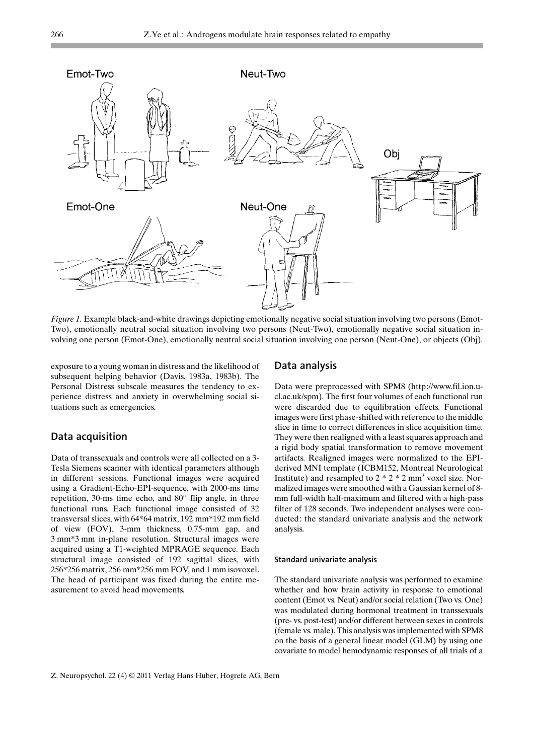

Figure 1. Example black-and-white drawings depicting emotionally negative social situation involving two persons (Emot-Two), emotionally neutral social situation involving two persons (Neut-Two), emotionally negative social situation involving one person (Emot-One), emotionally neutral social situation involving one person (Neut-One), or objects (Obj).

exposure to a young woman in distress and the likelihood of subsequent helping behavior (Davis, 1983a, 1983b). The Personal Distress subscale measures the tendency to experience distress and anxiety in overwhelming social situations such as emergencies.

#### Data acquisition

Data of transsexuals and controls were all collected on a 3- Tesla Siemens scanner with identical parameters although in different sessions. Functional images were acquired using a Gradient-Echo-EPI-sequence, with 2000-ms time repetition, 30-ms time echo, and  $80^\circ$  flip angle, in three functional runs. Each functional image consisted of 32 transversal slices, with 64\*64 matrix, 192 mm\*192 mm field of view (FOV), 3-mm thickness, 0.75-mm gap, and 3 mm\*3 mm in-plane resolution. Structural images were acquired using a T1-weighted MPRAGE sequence. Each structural image consisted of 192 sagittal slices, with 256\*256 matrix, 256 mm\*256 mm FOV, and 1 mm isovoxel. The head of participant was fixed during the entire measurement to avoid head movements.

#### Data analysis

Data were preprocessed with SPM8 (http://www.fil.ion.ucl.ac.uk/spm). The first four volumes of each functional run were discarded due to equilibration effects. Functional images were first phase-shifted with reference to the middle slice in time to correct differences in slice acquisition time. They were then realigned with a least squares approach and a rigid body spatial transformation to remove movement artifacts. Realigned images were normalized to the EPIderived MNI template (ICBM152, Montreal Neurological Institute) and resampled to  $2 * 2 * 2$  mm<sup>3</sup> voxel size. Normalized images were smoothed with a Gaussian kernel of 8 mm full-width half-maximum and filtered with a high-pass filter of 128 seconds. Two independent analyses were conducted: the standard univariate analysis and the network analysis.

#### Standard univariate analysis

The standard univariate analysis was performed to examine whether and how brain activity in response to emotional content (Emot vs. Neut) and/or social relation (Two vs. One) was modulated during hormonal treatment in transsexuals (pre- vs. post-test) and/or different between sexes in controls (female vs. male). This analysis was implemented with SPM8 on the basis of a general linear model (GLM) by using one covariate to model hemodynamic responses of all trials of a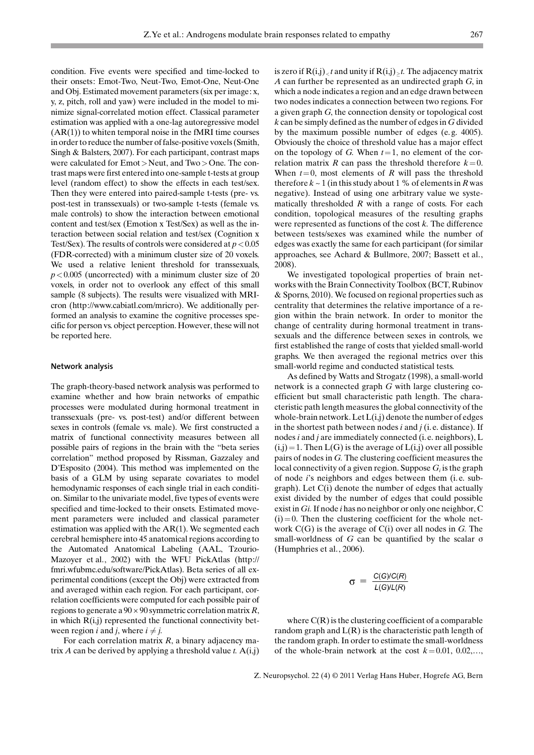condition. Five events were specified and time-locked to their onsets: Emot-Two, Neut-Two, Emot-One, Neut-One and Obj. Estimated movement parameters (six per image: x, y, z, pitch, roll and yaw) were included in the model to minimize signal-correlated motion effect. Classical parameter estimation was applied with a one-lag autoregressive model  $(AR(1))$  to whiten temporal noise in the fMRI time courses in order to reduce the number of false-positive voxels (Smith, Singh & Balsters, 2007). For each participant, contrast maps were calculated for Emot>Neut, and Two>One. The contrast maps were first entered into one-sample t-tests at group level (random effect) to show the effects in each test/sex. Then they were entered into paired-sample t-tests (pre- vs. post-test in transsexuals) or two-sample t-tests (female vs. male controls) to show the interaction between emotional content and test/sex (Emotion x Test/Sex) as well as the interaction between social relation and test/sex (Cognition x Test/Sex). The results of controls were considered at  $p < 0.05$ (FDR-corrected) with a minimum cluster size of 20 voxels. We used a relative lenient threshold for transsexuals,  $p < 0.005$  (uncorrected) with a minimum cluster size of 20 voxels, in order not to overlook any effect of this small sample (8 subjects). The results were visualized with MRIcron (http://www.cabiatl.com/mricro). We additionally performed an analysis to examine the cognitive processes specific for person vs. object perception. However, these will not be reported here.

#### Network analysis

The graph-theory-based network analysis was performed to examine whether and how brain networks of empathic processes were modulated during hormonal treatment in transsexuals (pre- vs. post-test) and/or different between sexes in controls (female vs. male). We first constructed a matrix of functional connectivity measures between all possible pairs of regions in the brain with the "beta series correlation" method proposed by Rissman, Gazzaley and D'Esposito (2004). This method was implemented on the basis of a GLM by using separate covariates to model hemodynamic responses of each single trial in each condition. Similar to the univariate model, five types of events were specified and time-locked to their onsets. Estimated movement parameters were included and classical parameter estimation was applied with the AR(1). We segmented each cerebral hemisphere into 45 anatomical regions according to the Automated Anatomical Labeling (AAL, Tzourio-Mazoyer et al., 2002) with the WFU PickAtlas (http:// fmri.wfubmc.edu/software/PickAtlas). Beta series of all experimental conditions (except the Obj) were extracted from and averaged within each region. For each participant, correlation coefficients were computed for each possible pair of regions to generate a  $90 \times 90$  symmetric correlation matrix R, in which  $R(i,j)$  represented the functional connectivity between region *i* and *j*, where  $i \neq j$ .

For each correlation matrix  $R$ , a binary adjacency matrix A can be derived by applying a threshold value t.  $A(i,j)$ 

is zero if  $\mathbf{R(i,j)}_{<}$  and unity if  $\mathbf{R(i,j)}_{\geq}$  . The adjacency matrix A can further be represented as an undirected graph G, in which a node indicates a region and an edge drawn between two nodes indicates a connection between two regions. For a given graph G, the connection density or topological cost k can be simply defined as the number of edges in G divided by the maximum possible number of edges (e. g. 4005). Obviously the choice of threshold value has a major effect on the topology of G. When  $t=1$ , no element of the correlation matrix R can pass the threshold therefore  $k=0$ . When  $t=0$ , most elements of R will pass the threshold therefore  $k \sim 1$  (in this study about 1 % of elements in R was negative). Instead of using one arbitrary value we systematically thresholded  $R$  with a range of costs. For each condition, topological measures of the resulting graphs were represented as functions of the cost  $k$ . The difference between tests/sexes was examined while the number of edges was exactly the same for each participant (for similar approaches, see Achard & Bullmore, 2007; Bassett et al., 2008).

We investigated topological properties of brain networks with the Brain Connectivity Toolbox (BCT, Rubinov & Sporns, 2010). We focused on regional properties such as centrality that determines the relative importance of a region within the brain network. In order to monitor the change of centrality during hormonal treatment in transsexuals and the difference between sexes in controls, we first established the range of costs that yielded small-world graphs. We then averaged the regional metrics over this small-world regime and conducted statistical tests.

As defined by Watts and Strogatz (1998), a small-world network is a connected graph G with large clustering coefficient but small characteristic path length. The characteristic path length measures the global connectivity of the whole-brain network. Let  $L(i,j)$  denote the number of edges in the shortest path between nodes  $i$  and  $j$  (i.e. distance). If nodes i and j are immediately connected (i. e. neighbors), L  $(i,j)=1$ . Then  $L(G)$  is the average of  $L(i,j)$  over all possible pairs of nodes in G. The clustering coefficient measures the local connectivity of a given region. Suppose  $G_i$  is the graph of node  $i$ 's neighbors and edges between them (i.e. subgraph). Let C(i) denote the number of edges that actually exist divided by the number of edges that could possible exist in  $Gi$ . If node *i* has no neighbor or only one neighbor,  $C$  $(i)=0$ . Then the clustering coefficient for the whole network  $C(G)$  is the average of  $C(i)$  over all nodes in G. The small-worldness of  $G$  can be quantified by the scalar  $\sigma$ (Humphries et al., 2006).

$$
\sigma = \frac{C(G)/C(R)}{L(G)/L(R)}
$$

where  $C(R)$  is the clustering coefficient of a comparable random graph and  $L(R)$  is the characteristic path length of the random graph. In order to estimate the small-worldness of the whole-brain network at the cost  $k=0.01, 0.02,...$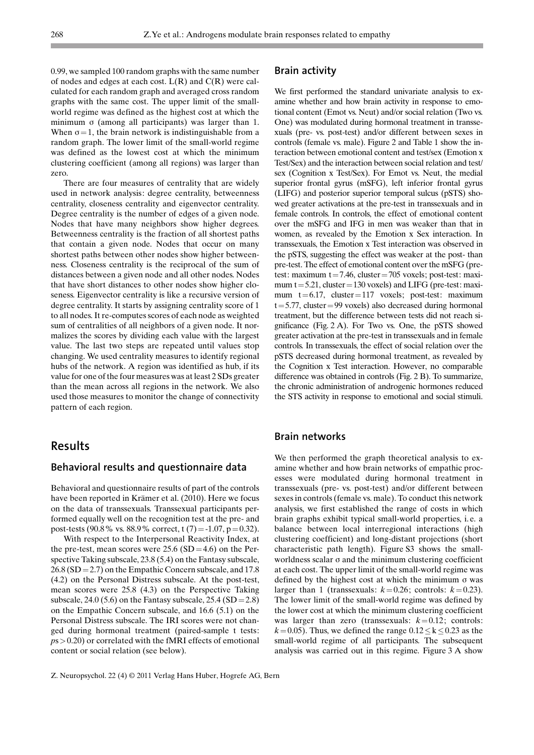0.99, we sampled 100 random graphs with the same number of nodes and edges at each cost.  $L(R)$  and  $C(R)$  were calculated for each random graph and averaged cross random graphs with the same cost. The upper limit of the smallworld regime was defined as the highest cost at which the minimum  $\sigma$  (among all participants) was larger than 1. When  $\sigma=1$ , the brain network is indistinguishable from a random graph. The lower limit of the small-world regime was defined as the lowest cost at which the minimum clustering coefficient (among all regions) was larger than zero.

There are four measures of centrality that are widely used in network analysis: degree centrality, betweenness centrality, closeness centrality and eigenvector centrality. Degree centrality is the number of edges of a given node. Nodes that have many neighbors show higher degrees. Betweenness centrality is the fraction of all shortest paths that contain a given node. Nodes that occur on many shortest paths between other nodes show higher betweenness. Closeness centrality is the reciprocal of the sum of distances between a given node and all other nodes. Nodes that have short distances to other nodes show higher closeness. Eigenvector centrality is like a recursive version of degree centrality. It starts by assigning centrality score of 1 to all nodes. It re-computes scores of each node as weighted sum of centralities of all neighbors of a given node. It normalizes the scores by dividing each value with the largest value. The last two steps are repeated until values stop changing. We used centrality measures to identify regional hubs of the network. A region was identified as hub, if its value for one of the four measures was at least 2 SDs greater than the mean across all regions in the network. We also used those measures to monitor the change of connectivity pattern of each region.

#### Results

#### Behavioral results and questionnaire data

Behavioral and questionnaire results of part of the controls have been reported in Krämer et al. (2010). Here we focus on the data of transsexuals. Transsexual participants performed equally well on the recognition test at the pre- and post-tests (90.8% vs. 88.9% correct, t  $(7) = -1.07$ , p = 0.32).

With respect to the Interpersonal Reactivity Index, at the pre-test, mean scores were  $25.6$  (SD = 4.6) on the Perspective Taking subscale, 23.8 (5.4) on the Fantasy subscale,  $26.8$  (SD = 2.7) on the Empathic Concern subscale, and 17.8 (4.2) on the Personal Distress subscale. At the post-test, mean scores were 25.8 (4.3) on the Perspective Taking subscale, 24.0 (5.6) on the Fantasy subscale, 25.4 (SD = 2.8) on the Empathic Concern subscale, and 16.6 (5.1) on the Personal Distress subscale. The IRI scores were not changed during hormonal treatment (paired-sample t tests:  $p_s$  > 0.20) or correlated with the fMRI effects of emotional content or social relation (see below).

We first performed the standard univariate analysis to examine whether and how brain activity in response to emotional content (Emot vs. Neut) and/or social relation (Two vs. One) was modulated during hormonal treatment in transsexuals (pre- vs. post-test) and/or different between sexes in controls (female vs. male). Figure 2 and Table 1 show the interaction between emotional content and test/sex (Emotion x Test/Sex) and the interaction between social relation and test/ sex (Cognition x Test/Sex). For Emot vs. Neut, the medial superior frontal gyrus (mSFG), left inferior frontal gyrus (LIFG) and posterior superior temporal sulcus (pSTS) showed greater activations at the pre-test in transsexuals and in female controls. In controls, the effect of emotional content over the mSFG and IFG in men was weaker than that in women, as revealed by the Emotion x Sex interaction. In transsexuals, the Emotion x Test interaction was observed in the pSTS, suggesting the effect was weaker at the post- than pre-test. The effect of emotional content over the mSFG (pretest: maximum t=7.46, cluster=705 voxels; post-test: maximum  $t = 5.21$ , cluster = 130 voxels) and LIFG (pre-test: maximum  $t=6.17$ , cluster=117 voxels; post-test: maximum  $t=5.77$ , cluster = 99 voxels) also decreased during hormonal treatment, but the difference between tests did not reach significance (Fig. 2 A). For Two vs. One, the pSTS showed greater activation at the pre-test in transsexuals and in female controls. In transsexuals, the effect of social relation over the pSTS decreased during hormonal treatment, as revealed by the Cognition x Test interaction. However, no comparable difference was obtained in controls (Fig. 2 B). To summarize, the chronic administration of androgenic hormones reduced the STS activity in response to emotional and social stimuli.

#### Brain networks

We then performed the graph theoretical analysis to examine whether and how brain networks of empathic processes were modulated during hormonal treatment in transsexuals (pre- vs. post-test) and/or different between sexes in controls (female vs. male). To conduct this network analysis, we first established the range of costs in which brain graphs exhibit typical small-world properties, i. e. a balance between local interregional interactions (high clustering coefficient) and long-distant projections (short characteristic path length). Figure S3 shows the smallworldness scalar  $\sigma$  and the minimum clustering coefficient at each cost. The upper limit of the small-world regime was defined by the highest cost at which the minimum  $\sigma$  was larger than 1 (transsexuals:  $k=0.26$ ; controls:  $k=0.23$ ). The lower limit of the small-world regime was defined by the lower cost at which the minimum clustering coefficient was larger than zero (transsexuals:  $k=0.12$ ; controls:  $k=0.05$ ). Thus, we defined the range  $0.12 \le k \le 0.23$  as the small-world regime of all participants. The subsequent analysis was carried out in this regime. Figure 3 A show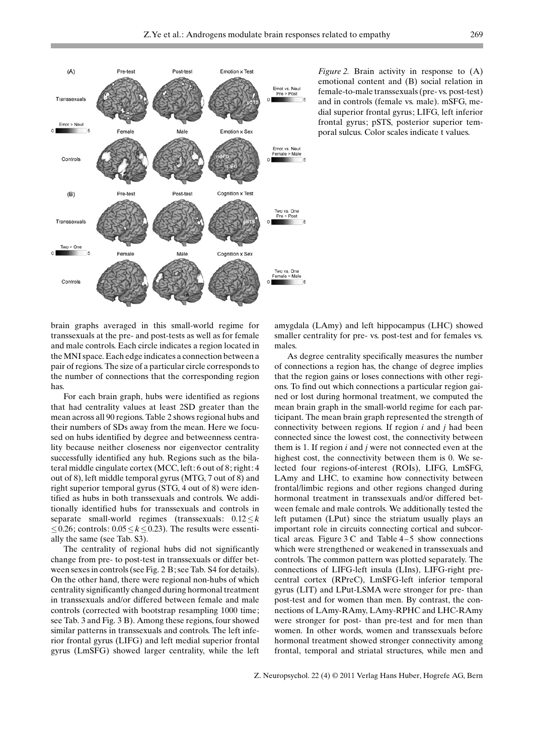

*Figure 2.* Brain activity in response to  $(A)$ emotional content and (B) social relation in female-to-male transsexuals (pre- vs. post-test) and in controls (female vs. male). mSFG, medial superior frontal gyrus; LIFG, left inferior frontal gyrus; pSTS, posterior superior temporal sulcus. Color scales indicate t values.

brain graphs averaged in this small-world regime for transsexuals at the pre- and post-tests as well as for female and male controls. Each circle indicates a region located in the MNI space. Each edge indicates a connection between a pair of regions. The size of a particular circle corresponds to the number of connections that the corresponding region has.

For each brain graph, hubs were identified as regions that had centrality values at least 2SD greater than the mean across all 90 regions. Table 2 shows regional hubs and their numbers of SDs away from the mean. Here we focused on hubs identified by degree and betweenness centrality because neither closeness nor eigenvector centrality successfully identified any hub. Regions such as the bilateral middle cingulate cortex (MCC, left: 6 out of 8; right: 4 out of 8), left middle temporal gyrus (MTG, 7 out of 8) and right superior temporal gyrus (STG, 4 out of 8) were identified as hubs in both transsexuals and controls. We additionally identified hubs for transsexuals and controls in separate small-world regimes (transsexuals:  $0.12 \le k$  $\leq$  0.26; controls: 0.05  $\leq$  k  $\leq$  0.23). The results were essentially the same (see Tab. S3).

The centrality of regional hubs did not significantly change from pre- to post-test in transsexuals or differ between sexes in controls (see Fig. 2 B; see Tab. S4 for details). On the other hand, there were regional non-hubs of which centrality significantly changed during hormonal treatment in transsexuals and/or differed between female and male controls (corrected with bootstrap resampling 1000 time; see Tab. 3 and Fig. 3 B). Among these regions, four showed similar patterns in transsexuals and controls. The left inferior frontal gyrus (LIFG) and left medial superior frontal gyrus (LmSFG) showed larger centrality, while the left amygdala (LAmy) and left hippocampus (LHC) showed smaller centrality for pre- vs. post-test and for females vs. males.

As degree centrality specifically measures the number of connections a region has, the change of degree implies that the region gains or loses connections with other regions. To find out which connections a particular region gained or lost during hormonal treatment, we computed the mean brain graph in the small-world regime for each participant. The mean brain graph represented the strength of connectivity between regions. If region  $i$  and  $j$  had been connected since the lowest cost, the connectivity between them is 1. If region i and j were not connected even at the highest cost, the connectivity between them is 0. We selected four regions-of-interest (ROIs), LIFG, LmSFG, LAmy and LHC, to examine how connectivity between frontal/limbic regions and other regions changed during hormonal treatment in transsexuals and/or differed between female and male controls. We additionally tested the left putamen (LPut) since the striatum usually plays an important role in circuits connecting cortical and subcortical areas. Figure  $3 \text{ C}$  and Table  $4-5$  show connections which were strengthened or weakened in transsexuals and controls. The common pattern was plotted separately. The connections of LIFG-left insula (LIns), LIFG-right precentral cortex (RPreC), LmSFG-left inferior temporal gyrus (LIT) and LPut-LSMA were stronger for pre- than post-test and for women than men. By contrast, the connections of LAmy-RAmy, LAmy-RPHC and LHC-RAmy were stronger for post- than pre-test and for men than women. In other words, women and transsexuals before hormonal treatment showed stronger connectivity among frontal, temporal and striatal structures, while men and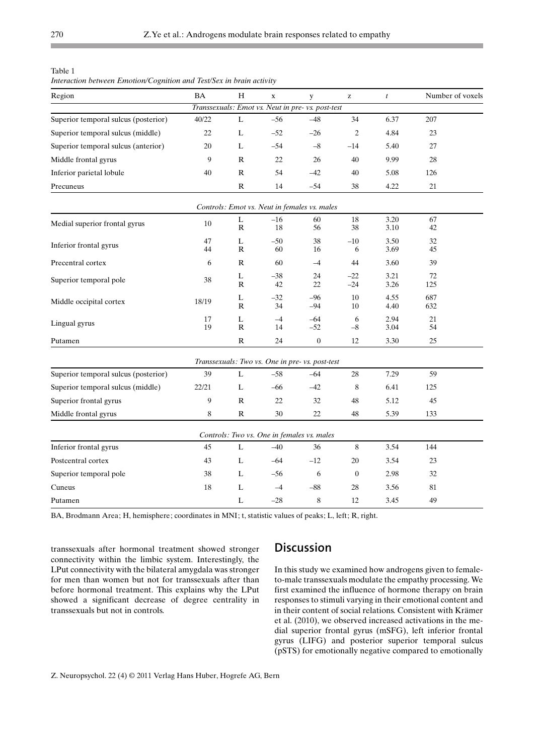Table 1

| Interaction between Emotion/Cognition and Test/Sex in brain activity |  |  |
|----------------------------------------------------------------------|--|--|
|                                                                      |  |  |

| Region                               | <b>BA</b> | $\rm H$           | $\mathbf x$ | y                                                 | $\mathbf{Z}% ^{T}=\mathbf{Z}^{T}\times\mathbf{Z}^{T}$ | $\boldsymbol{t}$ | Number of voxels |
|--------------------------------------|-----------|-------------------|-------------|---------------------------------------------------|-------------------------------------------------------|------------------|------------------|
|                                      |           |                   |             | Transsexuals: Emot vs. Neut in pre- vs. post-test |                                                       |                  |                  |
| Superior temporal sulcus (posterior) | 40/22     | L                 | $-56$       | $-48$                                             | 34                                                    | 6.37             | 207              |
| Superior temporal sulcus (middle)    | 22        | L                 | $-52$       | $-26$                                             | $\sqrt{2}$                                            | 4.84             | 23               |
| Superior temporal sulcus (anterior)  | 20        | L                 | $-54$       | $-8$                                              | $-14$                                                 | 5.40             | 27               |
| Middle frontal gyrus                 | 9         | ${\bf R}$         | 22          | 26                                                | 40                                                    | 9.99             | 28               |
| Inferior parietal lobule             | 40        | $\mathbb{R}$      | 54          | $-42$                                             | 40                                                    | 5.08             | 126              |
| Precuneus                            |           | ${\bf R}$         | 14          | $-54$                                             | 38                                                    | 4.22             | $21\,$           |
|                                      |           |                   |             | Controls: Emot vs. Neut in females vs. males      |                                                       |                  |                  |
| Medial superior frontal gyrus        | 10        | L<br>$\mathbb{R}$ | $-16$<br>18 | 60<br>56                                          | 18<br>38                                              | 3.20<br>3.10     | 67<br>42         |
| Inferior frontal gyrus               | 47        | L                 | $-50$       | 38                                                | $-10$                                                 | 3.50             | 32               |
|                                      | 44        | $\mathbb R$       | 60          | 16                                                | 6                                                     | 3.69             | 45               |
| Precentral cortex                    | 6         | R                 | 60          | $-4$                                              | 44                                                    | 3.60             | 39               |
| Superior temporal pole               | 38        | L<br>R            | $-38$<br>42 | 24<br>22                                          | $-22$<br>$-24$                                        | 3.21<br>3.26     | 72<br>125        |
| Middle occipital cortex              | 18/19     | L<br>$\mathbb{R}$ | $-32$<br>34 | $-96$<br>$-94$                                    | 10<br>10                                              | 4.55<br>4.40     | 687<br>632       |
| Lingual gyrus                        | 17<br>19  | L<br>$\mathbb{R}$ | $-4$<br>14  | $-64$<br>$-52$                                    | 6<br>$-8$                                             | 2.94<br>3.04     | 21<br>54         |
| Putamen                              |           | $\mathbb R$       | 24          | $\boldsymbol{0}$                                  | 12                                                    | 3.30             | 25               |
|                                      |           |                   |             | Transsexuals: Two vs. One in pre- vs. post-test   |                                                       |                  |                  |
| Superior temporal sulcus (posterior) | 39        | L                 | $-58$       | $-64$                                             | 28                                                    | 7.29             | 59               |
| Superior temporal sulcus (middle)    | 22/21     | L                 | $-66$       | $-42$                                             | 8                                                     | 6.41             | 125              |
| Superior frontal gyrus               | 9         | $\mathbb{R}$      | 22          | 32                                                | 48                                                    | 5.12             | 45               |
| Middle frontal gyrus                 | 8         | R                 | 30          | 22                                                | 48                                                    | 5.39             | 133              |
|                                      |           |                   |             | Controls: Two vs. One in females vs. males        |                                                       |                  |                  |
| Inferior frontal gyrus               | 45        | $\mathbf L$       | $-40$       | 36                                                | $\,$ 8 $\,$                                           | 3.54             | 144              |
| Postcentral cortex                   | 43        | L                 | $-64$       | $-12$                                             | 20                                                    | 3.54             | 23               |
| Superior temporal pole               | 38        | L                 | -56         | 6                                                 | $\mathbf{0}$                                          | 2.98             | 32               |
| Cuneus                               | 18        | L                 | $-4$        | $-88$                                             | 28                                                    | 3.56             | 81               |
| Putamen                              |           | L                 | $-28$       | 8                                                 | 12                                                    | 3.45             | 49               |

BA, Brodmann Area; H, hemisphere; coordinates in MNI; t, statistic values of peaks; L, left; R, right.

transsexuals after hormonal treatment showed stronger connectivity within the limbic system. Interestingly, the LPut connectivity with the bilateral amygdala was stronger for men than women but not for transsexuals after than before hormonal treatment. This explains why the LPut showed a significant decrease of degree centrality in transsexuals but not in controls.

## **Discussion**

In this study we examined how androgens given to femaleto-male transsexuals modulate the empathy processing. We first examined the influence of hormone therapy on brain responses to stimuli varying in their emotional content and in their content of social relations. Consistent with Krämer et al. (2010), we observed increased activations in the medial superior frontal gyrus (mSFG), left inferior frontal gyrus (LIFG) and posterior superior temporal sulcus (pSTS) for emotionally negative compared to emotionally

п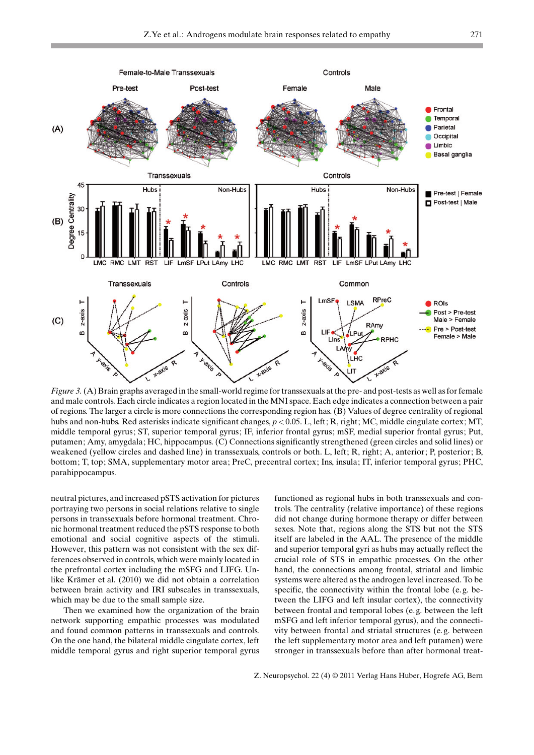

Figure 3. (A) Brain graphs averaged in the small-world regime for transsexuals at the pre- and post-tests as well as for female and male controls. Each circle indicates a region located in the MNI space. Each edge indicates a connection between a pair of regions. The larger a circle is more connections the corresponding region has. (B) Values of degree centrality of regional hubs and non-hubs. Red asterisks indicate significant changes,  $p < 0.05$ . L, left; R, right; MC, middle cingulate cortex; MT, middle temporal gyrus; ST, superior temporal gyrus; IF, inferior frontal gyrus; mSF, medial superior frontal gyrus; Put, putamen; Amy, amygdala; HC, hippocampus. (C) Connections significantly strengthened (green circles and solid lines) or weakened (yellow circles and dashed line) in transsexuals, controls or both. L, left; R, right; A, anterior; P, posterior; B, bottom; T, top; SMA, supplementary motor area; PreC, precentral cortex; Ins, insula; IT, inferior temporal gyrus; PHC, parahippocampus.

neutral pictures, and increased pSTS activation for pictures portraying two persons in social relations relative to single persons in transsexuals before hormonal treatment. Chronic hormonal treatment reduced the pSTS response to both emotional and social cognitive aspects of the stimuli. However, this pattern was not consistent with the sex differences observed in controls, which were mainly located in the prefrontal cortex including the mSFG and LIFG. Unlike Krämer et al. (2010) we did not obtain a correlation between brain activity and IRI subscales in transsexuals, which may be due to the small sample size.

Then we examined how the organization of the brain network supporting empathic processes was modulated and found common patterns in transsexuals and controls. On the one hand, the bilateral middle cingulate cortex, left middle temporal gyrus and right superior temporal gyrus functioned as regional hubs in both transsexuals and controls. The centrality (relative importance) of these regions did not change during hormone therapy or differ between sexes. Note that, regions along the STS but not the STS itself are labeled in the AAL. The presence of the middle and superior temporal gyri as hubs may actually reflect the crucial role of STS in empathic processes. On the other hand, the connections among frontal, striatal and limbic systems were altered as the androgen level increased. To be specific, the connectivity within the frontal lobe (e. g. between the LIFG and left insular cortex), the connectivity between frontal and temporal lobes (e. g. between the left mSFG and left inferior temporal gyrus), and the connectivity between frontal and striatal structures (e. g. between the left supplementary motor area and left putamen) were stronger in transsexuals before than after hormonal treat-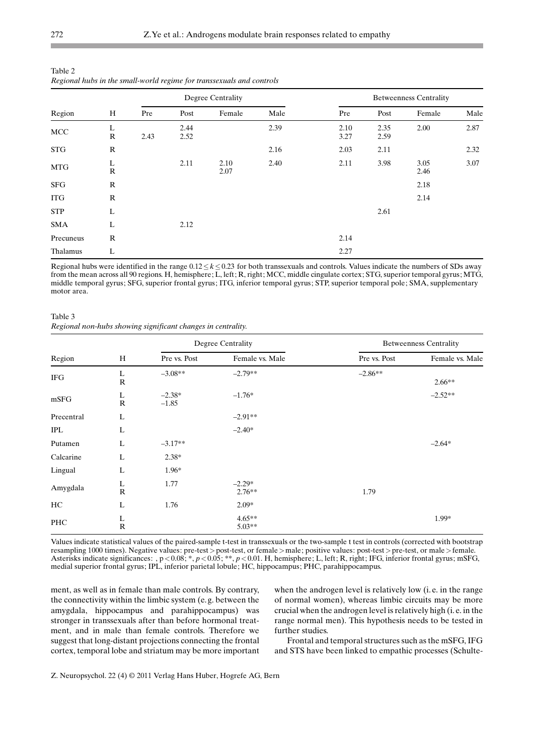| $\overline{\phantom{a}}$<br>ັ |                   |                   |              |              |      |                               |              |              |      |  |
|-------------------------------|-------------------|-------------------|--------------|--------------|------|-------------------------------|--------------|--------------|------|--|
|                               |                   | Degree Centrality |              |              |      | <b>Betweenness Centrality</b> |              |              |      |  |
| Region                        | H                 | Pre               | Post         | Female       | Male | Pre                           | Post         | Female       | Male |  |
| MCC                           | L<br>$\mathbb{R}$ | 2.43              | 2.44<br>2.52 |              | 2.39 | 2.10<br>3.27                  | 2.35<br>2.59 | 2.00         | 2.87 |  |
| <b>STG</b>                    | ${\bf R}$         |                   |              |              | 2.16 | 2.03                          | 2.11         |              | 2.32 |  |
| <b>MTG</b>                    | L<br>$\mathbb{R}$ |                   | 2.11         | 2.10<br>2.07 | 2.40 | 2.11                          | 3.98         | 3.05<br>2.46 | 3.07 |  |
| <b>SFG</b>                    | $\mathbb{R}$      |                   |              |              |      |                               |              | 2.18         |      |  |
| <b>ITG</b>                    | $\mathbb{R}$      |                   |              |              |      |                               |              | 2.14         |      |  |
| <b>STP</b>                    | L                 |                   |              |              |      |                               | 2.61         |              |      |  |
| <b>SMA</b>                    | L                 |                   | 2.12         |              |      |                               |              |              |      |  |
| Precuneus                     | ${\bf R}$         |                   |              |              |      | 2.14                          |              |              |      |  |
| Thalamus                      | L                 |                   |              |              |      | 2.27                          |              |              |      |  |

Table 2 Regional hubs in the small-world regime for transsexuals and controls

Regional hubs were identified in the range  $0.12 \le k \le 0.23$  for both transsexuals and controls. Values indicate the numbers of SDs away from the mean across all 90 regions. H, hemisphere; L, left; R, right; MCC, middle cingulate cortex; STG, superior temporal gyrus; MTG, middle temporal gyrus; SFG, superior frontal gyrus; ITG, inferior temporal gyrus; STP, superior temporal pole; SMA, supplementary motor area.

Table 3 Regional non-hubs showing significant changes in centrality.

|            |                              |                     | Degree Centrality    |              | <b>Betweenness Centrality</b> |
|------------|------------------------------|---------------------|----------------------|--------------|-------------------------------|
| Region     | H                            | Pre vs. Post        | Female vs. Male      | Pre vs. Post | Female vs. Male               |
| <b>IFG</b> | L<br>$\mathbf R$             | $-3.08**$           | $-2.79**$            | $-2.86**$    | $2.66**$                      |
| mSFG       | L<br>$\mathbf R$             | $-2.38*$<br>$-1.85$ | $-1.76*$             |              | $-2.52**$                     |
| Precentral | L                            |                     | $-2.91**$            |              |                               |
| <b>IPL</b> | L                            |                     | $-2.40*$             |              |                               |
| Putamen    | L                            | $-3.17**$           |                      |              | $-2.64*$                      |
| Calcarine  | L                            | $2.38*$             |                      |              |                               |
| Lingual    | L                            | 1.96*               |                      |              |                               |
| Amygdala   | $\rm _R^L$                   | 1.77                | $-2.29*$<br>$2.76**$ | 1.79         |                               |
| HC.        | L                            | 1.76                | $2.09*$              |              |                               |
| PHC        | L<br>$\overline{\mathsf{R}}$ |                     | $4.65**$<br>$5.03**$ |              | 1.99*                         |

Values indicate statistical values of the paired-sample t-test in transsexuals or the two-sample t test in controls (corrected with bootstrap resampling 1000 times). Negative values: pre-test > post-test, or female > male; positive values: post-test > pre-test, or male > female. Asterisks indicate significances: ,  $p < 0.08$ ; \*,  $p < 0.05$ ; \*\*,  $p < 0.01$ . H, hemisphere; L, left; R, right; IFG, inferior frontal gyrus; mSFG, medial superior frontal gyrus; IPL, inferior parietal lobule; HC, hippocampus; PHC, parahippocampus.

ment, as well as in female than male controls. By contrary, the connectivity within the limbic system (e. g. between the amygdala, hippocampus and parahippocampus) was stronger in transsexuals after than before hormonal treatment, and in male than female controls. Therefore we suggest that long-distant projections connecting the frontal cortex, temporal lobe and striatum may be more important when the androgen level is relatively low (i. e. in the range of normal women), whereas limbic circuits may be more crucial when the androgen level is relatively high (i. e. in the range normal men). This hypothesis needs to be tested in further studies.

Frontal and temporal structures such as the mSFG, IFG and STS have been linked to empathic processes (Schulte-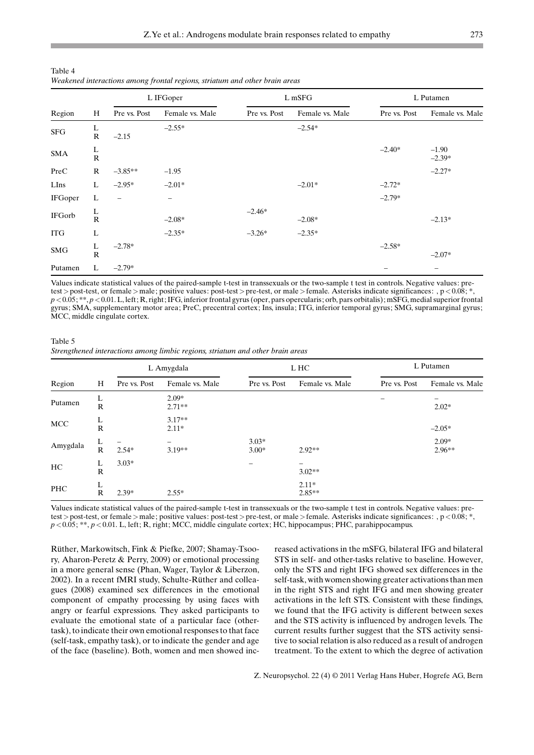|                |                   | ັ້              |                 |              |                 |              |                     |  |
|----------------|-------------------|-----------------|-----------------|--------------|-----------------|--------------|---------------------|--|
|                |                   | L IFGoper       |                 |              | L mSFG          | L Putamen    |                     |  |
| Region         | H                 | Pre vs. Post    | Female vs. Male | Pre vs. Post | Female vs. Male | Pre vs. Post | Female vs. Male     |  |
| ${\rm SFG}$    | L<br>$\mathbf R$  | $-2.15$         | $-2.55*$        |              | $-2.54*$        |              |                     |  |
| <b>SMA</b>     | $\rm _R^L$        |                 |                 |              |                 | $-2.40*$     | $-1.90$<br>$-2.39*$ |  |
| PreC           | $\mathbb{R}$      | $-3.85**$       | $-1.95$         |              |                 |              | $-2.27*$            |  |
| LIns           | L                 | $-2.95*$        | $-2.01*$        |              | $-2.01*$        | $-2.72*$     |                     |  |
| <b>IFGoper</b> | L                 | $\qquad \qquad$ |                 |              |                 | $-2.79*$     |                     |  |
| IFGorb         | $\frac{L}{R}$     |                 | $-2.08*$        | $-2.46*$     | $-2.08*$        |              | $-2.13*$            |  |
| <b>ITG</b>     | L                 |                 | $-2.35*$        | $-3.26*$     | $-2.35*$        |              |                     |  |
| <b>SMG</b>     | $\rm \frac{L}{R}$ | $-2.78*$        |                 |              |                 | $-2.58*$     | $-2.07*$            |  |
| Putamen        | L                 | $-2.79*$        |                 |              |                 |              | -                   |  |

| Table 4                                                                     |  |  |  |
|-----------------------------------------------------------------------------|--|--|--|
| Weakened interactions among frontal regions, striatum and other brain areas |  |  |  |

Values indicate statistical values of the paired-sample t-test in transsexuals or the two-sample t test in controls. Negative values: pretest > post-test, or female > male; positive values: post-test > pre-test, or male > female. Asterisks indicate significances: ,  $p < 0.08$ ;  $\overline{\ }$ ,  $p < 0.05$ ; \*\*,  $p < 0.01$ . L, left; R, right; IFG, inferior frontal gyrus (oper, pars opercularis; orb, pars orbitalis); mSFG, medial superior frontal gyrus; SMA, supplementary motor area; PreC, precentral cortex; Ins, insula; ITG, inferior temporal gyrus; SMG, supramarginal gyrus; MCC, middle cingulate cortex.

Table 5 Strengthened interactions among limbic regions, striatum and other brain areas

|            |                   | L Amygdala   |                     |                    | L HC                | L Putamen    |                     |  |
|------------|-------------------|--------------|---------------------|--------------------|---------------------|--------------|---------------------|--|
| Region     | H                 | Pre vs. Post | Female vs. Male     | Pre vs. Post       | Female vs. Male     | Pre vs. Post | Female vs. Male     |  |
| Putamen    | ┺<br>$\mathbb{R}$ |              | $2.09*$<br>$2.71**$ |                    |                     | -            | $2.02*$             |  |
| <b>MCC</b> | L<br>$\mathbb{R}$ |              | $3.17**$<br>$2.11*$ |                    |                     |              | $-2.05*$            |  |
| Amygdala   | L<br>$\mathbb{R}$ | $2.54*$      | $3.19**$            | $3.03*$<br>$3.00*$ | $2.92**$            |              | $2.09*$<br>$2.96**$ |  |
| НC         | L<br>$\mathbb{R}$ | $3.03*$      |                     |                    | -<br>$3.02**$       |              |                     |  |
| PHC        | ┺<br>$\mathbb{R}$ | $2.39*$      | $2.55*$             |                    | $2.11*$<br>$2.85**$ |              |                     |  |

Values indicate statistical values of the paired-sample t-test in transsexuals or the two-sample t test in controls. Negative values: pretest > post-test, or female > male; positive values: post-test > pre-test, or male > female. Asterisks indicate significances: , p<0.08; \*,  $p < 0.05$ ; \*\*,  $p < 0.01$ . L, left; R, right; MCC, middle cingulate cortex; HC, hippocampus; PHC, parahippocampus.

Rüther, Markowitsch, Fink & Piefke, 2007; Shamay-Tsoory, Aharon-Peretz & Perry, 2009) or emotional processing in a more general sense (Phan, Wager, Taylor & Liberzon, 2002). In a recent fMRI study, Schulte-Rüther and colleagues (2008) examined sex differences in the emotional component of empathy processing by using faces with angry or fearful expressions. They asked participants to evaluate the emotional state of a particular face (othertask), to indicate their own emotional responses to that face (self-task, empathy task), or to indicate the gender and age of the face (baseline). Both, women and men showed increased activations in the mSFG, bilateral IFG and bilateral STS in self- and other-tasks relative to baseline. However, only the STS and right IFG showed sex differences in the self-task, with women showing greater activations than men in the right STS and right IFG and men showing greater activations in the left STS. Consistent with these findings, we found that the IFG activity is different between sexes and the STS activity is influenced by androgen levels. The current results further suggest that the STS activity sensitive to social relation is also reduced as a result of androgen treatment. To the extent to which the degree of activation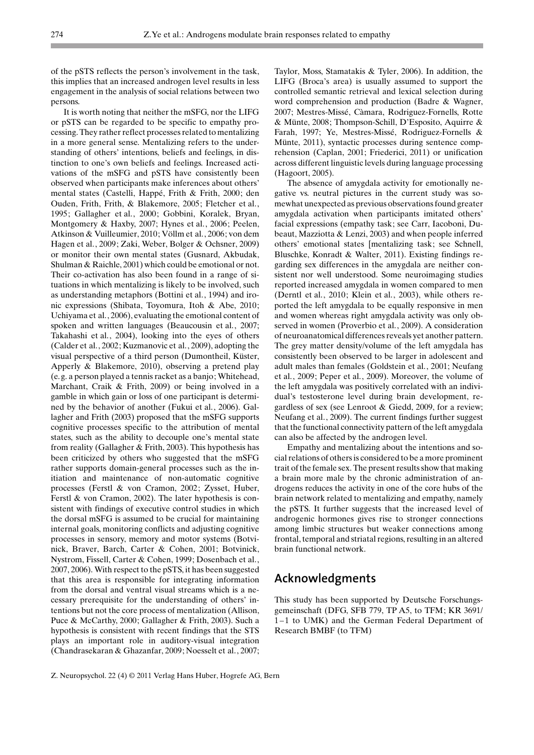of the pSTS reflects the person's involvement in the task, this implies that an increased androgen level results in less engagement in the analysis of social relations between two persons.

It is worth noting that neither the mSFG, nor the LIFG or pSTS can be regarded to be specific to empathy processing. They rather reflect processes related to mentalizing in a more general sense. Mentalizing refers to the understanding of others' intentions, beliefs and feelings, in distinction to one's own beliefs and feelings. Increased activations of the mSFG and pSTS have consistently been observed when participants make inferences about others' mental states (Castelli, Happé, Frith & Frith, 2000; den Ouden, Frith, Frith, & Blakemore, 2005; Fletcher et al., 1995; Gallagher et al., 2000; Gobbini, Koralek, Bryan, Montgomery & Haxby, 2007; Hynes et al., 2006; Peelen, Atkinson & Vuilleumier, 2010; Völlm et al., 2006; von dem Hagen et al., 2009; Zaki, Weber, Bolger & Ochsner, 2009) or monitor their own mental states (Gusnard, Akbudak, Shulman & Raichle, 2001) which could be emotional or not. Their co-activation has also been found in a range of situations in which mentalizing is likely to be involved, such as understanding metaphors (Bottini et al., 1994) and ironic expressions (Shibata, Toyomura, Itoh & Abe, 2010; Uchiyama et al., 2006), evaluating the emotional content of spoken and written languages (Beaucousin et al., 2007; Takahashi et al., 2004), looking into the eyes of others (Calder et al., 2002; Kuzmanovic et al., 2009), adopting the visual perspective of a third person (Dumontheil, Küster, Apperly & Blakemore, 2010), observing a pretend play (e. g. a person played a tennis racket as a banjo; Whitehead, Marchant, Craik & Frith, 2009) or being involved in a gamble in which gain or loss of one participant is determined by the behavior of another (Fukui et al., 2006). Gallagher and Frith (2003) proposed that the mSFG supports cognitive processes specific to the attribution of mental states, such as the ability to decouple one's mental state from reality (Gallagher & Frith, 2003). This hypothesis has been criticized by others who suggested that the mSFG rather supports domain-general processes such as the initiation and maintenance of non-automatic cognitive processes (Ferstl & von Cramon, 2002; Zysset, Huber, Ferstl & von Cramon, 2002). The later hypothesis is consistent with findings of executive control studies in which the dorsal mSFG is assumed to be crucial for maintaining internal goals, monitoring conflicts and adjusting cognitive processes in sensory, memory and motor systems (Botvinick, Braver, Barch, Carter & Cohen, 2001; Botvinick, Nystrom, Fissell, Carter & Cohen, 1999; Dosenbach et al., 2007, 2006). With respect to the pSTS, it has been suggested that this area is responsible for integrating information from the dorsal and ventral visual streams which is a necessary prerequisite for the understanding of others' intentions but not the core process of mentalization (Allison, Puce & McCarthy, 2000; Gallagher & Frith, 2003). Such a hypothesis is consistent with recent findings that the STS plays an important role in auditory-visual integration (Chandrasekaran & Ghazanfar, 2009; Noesselt et al., 2007; Taylor, Moss, Stamatakis & Tyler, 2006). In addition, the LIFG (Broca's area) is usually assumed to support the controlled semantic retrieval and lexical selection during word comprehension and production (Badre & Wagner, 2007; Mestres-Missé, Càmara, Rodriguez-Fornells, Rotte & Münte, 2008; Thompson-Schill, D'Esposito, Aquirre & Farah, 1997; Ye, Mestres-Missé, Rodriguez-Fornells & Münte, 2011), syntactic processes during sentence comprehension (Caplan, 2001; Friederici, 2011) or unification across different linguistic levels during language processing (Hagoort, 2005).

The absence of amygdala activity for emotionally negative vs. neutral pictures in the current study was somewhat unexpected as previous observations found greater amygdala activation when participants imitated others' facial expressions (empathy task; see Carr, Iacoboni, Dubeaut, Mazziotta & Lenzi, 2003) and when people inferred others' emotional states [mentalizing task; see Schnell, Bluschke, Konradt & Walter, 2011). Existing findings regarding sex differences in the amygdala are neither consistent nor well understood. Some neuroimaging studies reported increased amygdala in women compared to men (Derntl et al., 2010; Klein et al., 2003), while others reported the left amygdala to be equally responsive in men and women whereas right amygdala activity was only observed in women (Proverbio et al., 2009). A consideration of neuroanatomical differences reveals yet another pattern. The grey matter density/volume of the left amygdala has consistently been observed to be larger in adolescent and adult males than females (Goldstein et al., 2001; Neufang et al., 2009; Peper et al., 2009). Moreover, the volume of the left amygdala was positively correlated with an individual's testosterone level during brain development, regardless of sex (see Lenroot & Giedd, 2009, for a review; Neufang et al., 2009). The current findings further suggest that the functional connectivity pattern of the left amygdala can also be affected by the androgen level.

Empathy and mentalizing about the intentions and social relations of others is considered to be a more prominent trait of the female sex. The present results show that making a brain more male by the chronic administration of androgens reduces the activity in one of the core hubs of the brain network related to mentalizing and empathy, namely the pSTS. It further suggests that the increased level of androgenic hormones gives rise to stronger connections among limbic structures but weaker connections among frontal, temporal and striatal regions, resulting in an altered brain functional network.

# Acknowledgments

This study has been supported by Deutsche Forschungsgemeinschaft (DFG, SFB 779, TP A5, to TFM; KR 3691/ 1-1 to UMK) and the German Federal Department of Research BMBF (to TFM)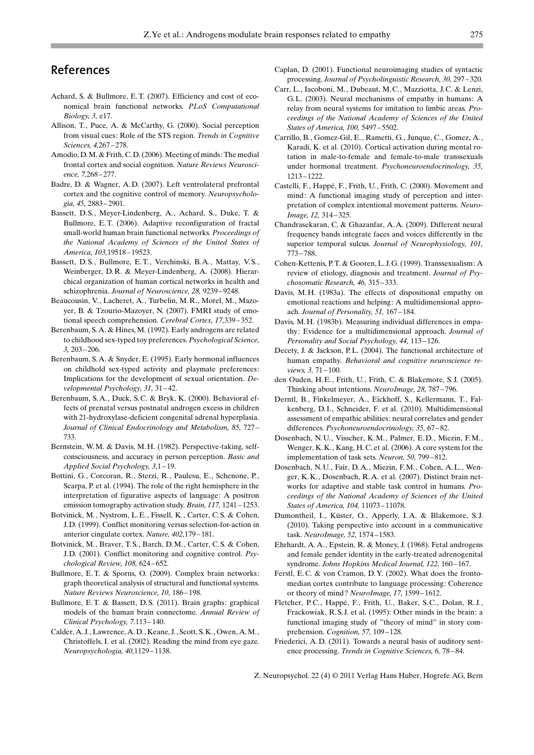# References

- Achard, S. & Bullmore, E.T. (2007). Efficiency and cost of economical brain functional networks. PLoS Computational Biology, 3, e17.
- Allison, T., Puce, A. & McCarthy, G. (2000). Social perception from visual cues: Role of the STS region. Trends in Cognitive Sciences, 4,267 – 278.
- Amodio, D.M. & Frith, C.D. (2006). Meeting of minds: The medial frontal cortex and social cognition. Nature Reviews Neuroscience, 7,268 – 277.
- Badre, D. & Wagner, A.D. (2007). Left ventrolateral prefrontal cortex and the cognitive control of memory. Neuropsychologia, 45, 2883 – 2901.
- Bassett, D.S., Meyer-Lindenberg, A., Achard, S., Duke, T. & Bullmore, E.T. (2006). Adaptive reconfiguration of fractal small-world human brain functional networks. Proceedings of the National Academy of Sciences of the United States of America, 103,19518 – 19523.
- Bassett, D.S., Bullmore, E.T., Verchinski, B.A., Mattay, V.S., Weinberger, D.R. & Meyer-Lindenberg, A. (2008). Hierarchical organization of human cortical networks in health and schizophrenia. Journal of Neuroscience, 28, 9239 – 9248.
- Beaucousin, V., Lacheret, A., Turbelin, M.R., Morel, M., Mazoyer, B. & Tzourio-Mazoyer, N. (2007). FMRI study of emotional speech comprehension. Cerebral Cortex, 17,339 – 352.
- Berenbaum, S.A. & Hines, M. (1992). Early androgens are related to childhood sex-typed toy preferences. Psychological Science, 3, 203 – 206.
- Berenbaum, S.A. & Snyder, E. (1995). Early hormonal influences on childhold sex-typed activity and playmate preferences: Implications for the development of sexual orientation. Developmental Psychology, 31, 31 – 42.
- Berenbaum, S.A., Duck, S. C. & Bryk, K. (2000). Behavioral effects of prenatal versus postnatal androgen excess in children with 21-hydroxylase-deficient congenital adrenal hyperplasia. Journal of Clinical Endocrinology and Metabolism, 85, 727 – 733.
- Bernstein, W.M. & Davis, M.H. (1982). Perspective-taking, selfconsciousness, and accuracy in person perception. Basic and Applied Social Psychology, 3,1-19.
- Bottini, G., Corcoran, R., Sterzi, R., Paulesu, E., Schenone, P., Scarpa, P. et al. (1994). The role of the right hemisphere in the interpretation of figurative aspects of language: A positron emission tomography activation study. Brain, 117, 1241 – 1253.
- Botvinick, M., Nystrom, L. E., Fissell, K., Carter, C. S. & Cohen, J.D. (1999). Conflict monitoring versus selection-for-action in anterior cingulate cortex. Nature, 402,179 – 181.
- Botvinick, M., Braver, T. S., Barch, D.M., Carter, C. S. & Cohen, J.D. (2001). Conflict monitoring and cognitive control. Psychological Review, 108, 624 – 652.
- Bullmore, E.T. & Sporns, O. (2009). Complex brain networks: graph theoretical analysis of structural and functional systems. Nature Reviews Neuroscience, 10, 186-198.
- Bullmore, E.T. & Bassett, D.S. (2011). Brain graphs: graphical models of the human brain connectome. Annual Review of Clinical Psychology, 7.113 – 140.
- Calder, A. J., Lawrence, A.D., Keane, J., Scott, S.K., Owen, A.M., Christoffels, I. et al. (2002). Reading the mind from eye gaze. Neuropsychologia, 40,1129 – 1138.
- Caplan, D. (2001). Functional neuroimaging studies of syntactic processing. Journal of Psycholinguistic Research, 30, 297 – 320.
- Carr, L., Iacoboni, M., Dubeaut, M. C., Mazziotta, J. C. & Lenzi, G.L. (2003). Neural mechanisms of empathy in humans: A relay from neural systems for imitation to limbic areas. Proceedings of the National Academy of Sciences of the United States of America, 100, 5497 – 5502.
- Carrillo, B., Gomez-Gil, E., Rametti, G., Junque, C., Gomez, A., Karadi, K. et al. (2010). Cortical activation during mental rotation in male-to-female and female-to-male transsexuals under hormonal treatment. Psychoneuroendocrinology, 35, 1213 – 1222.
- Castelli, F., Happé, F., Frith, U., Frith, C. (2000). Movement and mind: A functional imaging study of perception and interpretation of complex intentional movement patterns. Neuro-Image, 12, 314 – 325.
- Chandrasekaran, C. & Ghazanfar, A.A. (2009). Different neural frequency bands integrate faces and voices differently in the superior temporal sulcus. Journal of Neurophysiology, 101, 773 – 788.
- Cohen-Kettenis, P.T. & Gooren, L. J.G. (1999). Transsexualism: A review of etiology, diagnosis and treatment. Journal of Psychosomatic Research, 46, 315 – 333.
- Davis, M.H. (1983a). The effects of dispositional empathy on emotional reactions and helping: A multidimensional approach. Journal of Personality, 51, 167 – 184.
- Davis, M.H. (1983b). Measuring individual differences in empathy: Evidence for a multidimensional approach. Journal of Personality and Social Psychology, 44, 113-126.
- Decety, J. & Jackson, P.L. (2004). The functional architecture of human empathy. Behavioral and cognitive neuroscience reviews, 3, 71 – 100.
- den Ouden, H. E., Frith, U., Frith, C. & Blakemore, S. J. (2005). Thinking about intentions. NeuroImage, 28, 787 – 796.
- Derntl, B., Finkelmeyer, A., Eickhoff, S., Kellermann, T., Falkenberg, D. I., Schneider, F. et al. (2010). Multidimensional assessment of empathic abilities: neural correlates and gender differences. Psychoneuroendocrinology, 35, 67-82.
- Dosenbach, N.U., Visscher, K.M., Palmer, E.D., Miezin, F.M., Wenger, K.K., Kang, H. C. et al. (2006). A core system for the implementation of task sets. Neuron, 50, 799 – 812.
- Dosenbach, N.U., Fair, D.A., Miezin, F.M., Cohen, A.L., Wenger, K.K., Dosenbach, R.A. et al. (2007). Distinct brain networks for adaptive and stable task control in humans. Proceedings of the National Academy of Sciences of the United States of America, 104, 11073-11078.
- Dumontheil, I., Küster, O., Apperly, I.A. & Blakemore, S.J. (2010). Taking perspective into account in a communicative task. NeuroImage, 52, 1574 – 1583.
- Ehrhardt, A.A., Epstein, R. & Money, J. (1968). Fetal androgens and female gender identity in the early-treated adrenogenital syndrome. Johns Hopkins Medical Journal, 122, 160-167.
- Ferstl, E.C. & von Cramon, D.Y. (2002). What does the frontomedian cortex contribute to language processing: Coherence or theory of mind? NeuroImage, 17, 1599 – 1612.
- Fletcher, P.C., Happé, F., Frith, U., Baker, S.C., Dolan, R.J., Frackowiak, R. S. J. et al. (1995): Other minds in the brain: a functional imaging study of "theory of mind" in story comprehension. Cognition, 57, 109-128.
- Friederici, A.D. (2011). Towards a neural basis of auditory sentence processing. Trends in Cognitive Sciences, 6, 78 – 84.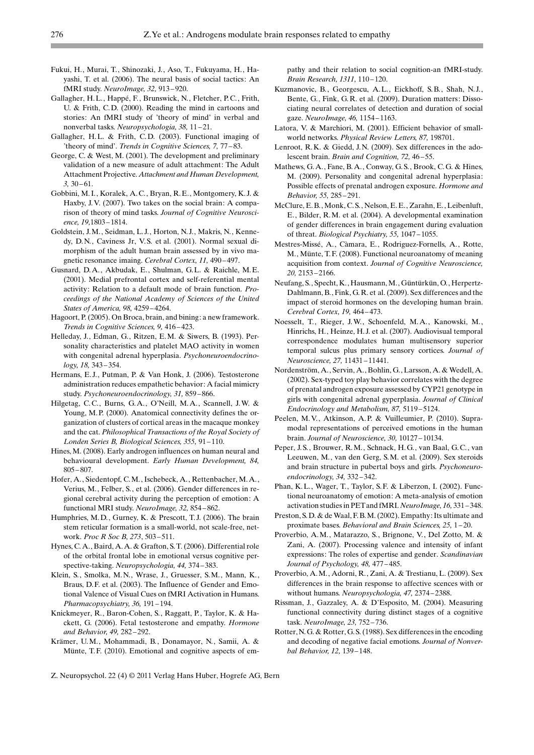- Fukui, H., Murai, T., Shinozaki, J., Aso, T., Fukuyama, H., Hayashi, T. et al. (2006). The neural basis of social tactics: An fMRI study. NeuroImage, 32, 913 – 920.
- Gallagher, H.L., Happé, F., Brunswick, N., Fletcher, P.C., Frith, U. & Frith, C.D. (2000). Reading the mind in cartoons and stories: An fMRI study of 'theory of mind' in verbal and nonverbal tasks. Neuropsychologia, 38, 11 – 21.
- Gallagher, H.L. & Frith, C.D. (2003). Functional imaging of 'theory of mind'. Trends in Cognitive Sciences, 7, 77-83.
- George, C. & West, M. (2001). The development and preliminary validation of a new measure of adult attachment: The Adult Attachment Projective. Attachment and Human Development,  $3, 30 - 61.$
- Gobbini, M. I., Koralek, A. C., Bryan, R. E., Montgomery, K. J. & Haxby, J.V. (2007). Two takes on the social brain: A comparison of theory of mind tasks. Journal of Cognitive Neuroscience, 19,1803 – 1814.
- Goldstein, J.M., Seidman, L. J., Horton, N. J., Makris, N., Kennedy, D.N., Caviness Jr, V. S. et al. (2001). Normal sexual dimorphism of the adult human brain assessed by in vivo magnetic resonance imaing. Cerebral Cortex, 11, 490 – 497.
- Gusnard, D.A., Akbudak, E., Shulman, G.L. & Raichle, M. E. (2001). Medial prefrontal cortex and self-referential mental activity: Relation to a default mode of brain function. Proceedings of the National Academy of Sciences of the United States of America, 98, 4259 – 4264.
- Hagoort, P. (2005). On Broca, brain, and bining: a new framework. Trends in Cognitive Sciences, 9, 416 – 423.
- Helleday, J., Edman, G., Ritzen, E.M. & Siwers, B. (1993). Personality characteristics and platelet MAO activity in women with congenital adrenal hyperplasia. Psychoneuroendocrinology, 18, 343 – 354.
- Hermans, E.J., Putman, P. & Van Honk, J. (2006). Testosterone administration reduces empathetic behavior: A facial mimicry study. Psychoneuroendocrinology, 31, 859 – 866.
- Hilgetag, C.C., Burns, G.A., O'Neill, M.A., Scannell, J.W. & Young, M.P. (2000). Anatomical connectivity defines the organization of clusters of cortical areas in the macaque monkey and the cat. Philosophical Transactions of the Royal Society of Londen Series B, Biological Sciences, 355, 91 – 110.
- Hines, M. (2008). Early androgen influences on human neural and behavioural development. Early Human Development, 84, 805 – 807.
- Hofer, A., Siedentopf, C.M., Ischebeck, A., Rettenbacher, M.A., Verius, M., Felber, S., et al. (2006). Gender differences in regional cerebral activity during the perception of emotion: A functional MRI study. NeuroImage, 32, 854 – 862.
- Humphries, M.D., Gurney, K. & Prescott, T. J. (2006). The brain stem reticular formation is a small-world, not scale-free, network. Proc R Soc B, 273, 503 – 511.
- Hynes, C.A., Baird, A.A. & Grafton, S.T. (2006). Differential role of the orbital frontal lobe in emotional versus cognitive perspective-taking. Neuropsychologia, 44, 374 – 383.
- Klein, S., Smolka, M.N., Wrase, J., Gruesser, S.M., Mann, K., Braus, D. F. et al. (2003). The Influence of Gender and Emotional Valence of Visual Cues on fMRI Activation in Humans. Pharmacopsychiatry, 36, 191-194.
- Knickmeyer, R., Baron-Cohen, S., Raggatt, P., Taylor, K. & Hackett, G. (2006). Fetal testosterone and empathy. Hormone and Behavior, 49, 282 – 292.
- Krämer, U.M., Mohammadi, B., Donamayor, N., Samii, A. & Münte, T.F. (2010). Emotional and cognitive aspects of em-

pathy and their relation to social cognition-an fMRI-study. Brain Research, 1311, 110-120.

- Kuzmanovic, B., Georgescu, A.L., Eickhoff, S. B., Shah, N. J., Bente, G., Fink, G.R. et al. (2009). Duration matters: Dissociating neural correlates of detection and duration of social gaze. NeuroImage, 46, 1154 – 1163.
- Latora, V. & Marchiori, M. (2001). Efficient behavior of smallworld networks. Physical Review Letters, 87, 198701.
- Lenroot, R.K. & Giedd, J.N. (2009). Sex differences in the adolescent brain. Brain and Cognition, 72, 46-55.
- Mathews, G.A., Fane, B.A., Conway, G. S., Brook, C.G. & Hines, M. (2009). Personality and congenital adrenal hyperplasia: Possible effects of prenatal androgen exposure. Hormone and Behavior, 55, 285 – 291.
- McClure, E. B., Monk, C. S., Nelson, E. E., Zarahn, E., Leibenluft, E., Bilder, R.M. et al. (2004). A developmental examination of gender differences in brain engagement during evaluation of threat. Biological Psychiatry, 55, 1047 – 1055.
- Mestres-Missé, A., Càmara, E., Rodriguez-Fornells, A., Rotte, M., Münte, T.F. (2008). Functional neuroanatomy of meaning acquisition from context. Journal of Cognitive Neuroscience, 20, 2153 – 2166.
- Neufang, S., Specht, K., Hausmann, M., Güntürkün, O., Herpertz-Dahlmann, B., Fink, G.R. et al. (2009). Sex differences and the impact of steroid hormones on the developing human brain. Cerebral Cortex, 19, 464 – 473.
- Noesselt, T., Rieger, J.W., Schoenfeld, M.A., Kanowski, M., Hinrichs, H., Heinze, H. J. et al. (2007). Audiovisual temporal correspondence modulates human multisensory superior temporal sulcus plus primary sensory cortices. Journal of Neuroscience, 27, 11431 – 11441.
- Nordenström, A., Servin, A., Bohlin, G., Larsson, A. & Wedell, A. (2002). Sex-typed toy play behavior correlates with the degree of prenatal androgen exposure assessed by CYP21 genotype in girls with congenital adrenal gyperplasia. Journal of Clinical Endocrinology and Metabolism, 87, 5119 – 5124.
- Peelen, M.V., Atkinson, A. P. & Vuilleumier, P. (2010). Supramodal representations of perceived emotions in the human brain. Journal of Neuroscience, 30, 10127 – 10134.
- Peper, J. S., Brouwer, R.M., Schnack, H.G., van Baal, G. C., van Leeuwen, M., van den Gerg, S.M. et al. (2009). Sex steroids and brain structure in pubertal boys and girls. Psychoneuroendocrinology, 34, 332 – 342.
- Phan, K.L., Wager, T., Taylor, S.F. & Liberzon, I. (2002). Functional neuroanatomy of emotion: A meta-analysis of emotion activation studies in PETand fMRI. NeuroImage, 16, 331 – 348.
- Preston, S.D. & de Waal, F.B.M. (2002). Empathy: Its ultimate and proximate bases. Behavioral and Brain Sciences, 25, 1 – 20.
- Proverbio, A.M., Matarazzo, S., Brignone, V., Del Zotto, M. & Zani, A. (2007). Processing valence and intensity of infant expressions: The roles of expertise and gender. Scandinavian Journal of Psychology, 48, 477 – 485.
- Proverbio, A.M., Adorni, R., Zani, A. & Trestianu, L. (2009). Sex differences in the brain response to affective scences with or without humans. Neuropsychologia, 47, 2374 – 2388.
- Rissman, J., Gazzaley, A. & D-Esposito, M. (2004). Measuring functional connectivity during distinct stages of a cognitive task. NeuroImage, 23, 752 – 736.
- Rotter, N.G. & Rotter, G. S. (1988). Sex differences in the encoding and decoding of negative facial emotions. Journal of Nonverbal Behavior, 12, 139 – 148.